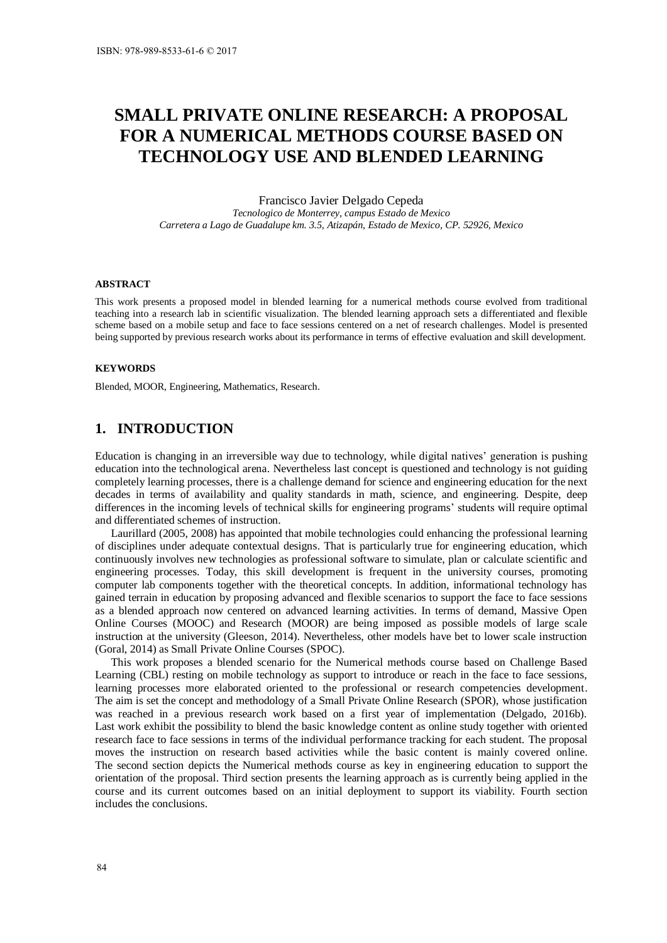# **SMALL PRIVATE ONLINE RESEARCH: A PROPOSAL FOR A NUMERICAL METHODS COURSE BASED ON TECHNOLOGY USE AND BLENDED LEARNING**

Francisco Javier Delgado Cepeda

*Tecnologico de Monterrey, campus Estado de Mexico Carretera a Lago de Guadalupe km. 3.5, Atizapán, Estado de Mexico, CP. 52926, Mexico* 

#### **ABSTRACT**

This work presents a proposed model in blended learning for a numerical methods course evolved from traditional teaching into a research lab in scientific visualization. The blended learning approach sets a differentiated and flexible scheme based on a mobile setup and face to face sessions centered on a net of research challenges. Model is presented being supported by previous research works about its performance in terms of effective evaluation and skill development.

#### **KEYWORDS**

Blended, MOOR, Engineering, Mathematics, Research.

# **1. INTRODUCTION**

Education is changing in an irreversible way due to technology, while digital natives' generation is pushing education into the technological arena. Nevertheless last concept is questioned and technology is not guiding completely learning processes, there is a challenge demand for science and engineering education for the next decades in terms of availability and quality standards in math, science, and engineering. Despite, deep differences in the incoming levels of technical skills for engineering programs' students will require optimal and differentiated schemes of instruction.

Laurillard (2005, 2008) has appointed that mobile technologies could enhancing the professional learning of disciplines under adequate contextual designs. That is particularly true for engineering education, which continuously involves new technologies as professional software to simulate, plan or calculate scientific and engineering processes. Today, this skill development is frequent in the university courses, promoting computer lab components together with the theoretical concepts. In addition, informational technology has gained terrain in education by proposing advanced and flexible scenarios to support the face to face sessions as a blended approach now centered on advanced learning activities. In terms of demand, Massive Open Online Courses (MOOC) and Research (MOOR) are being imposed as possible models of large scale instruction at the university (Gleeson, 2014). Nevertheless, other models have bet to lower scale instruction (Goral, 2014) as Small Private Online Courses (SPOC).

This work proposes a blended scenario for the Numerical methods course based on Challenge Based Learning (CBL) resting on mobile technology as support to introduce or reach in the face to face sessions, learning processes more elaborated oriented to the professional or research competencies development. The aim is set the concept and methodology of a Small Private Online Research (SPOR), whose justification was reached in a previous research work based on a first year of implementation (Delgado, 2016b). Last work exhibit the possibility to blend the basic knowledge content as online study together with oriented research face to face sessions in terms of the individual performance tracking for each student. The proposal moves the instruction on research based activities while the basic content is mainly covered online. The second section depicts the Numerical methods course as key in engineering education to support the orientation of the proposal. Third section presents the learning approach as is currently being applied in the course and its current outcomes based on an initial deployment to support its viability. Fourth section includes the conclusions.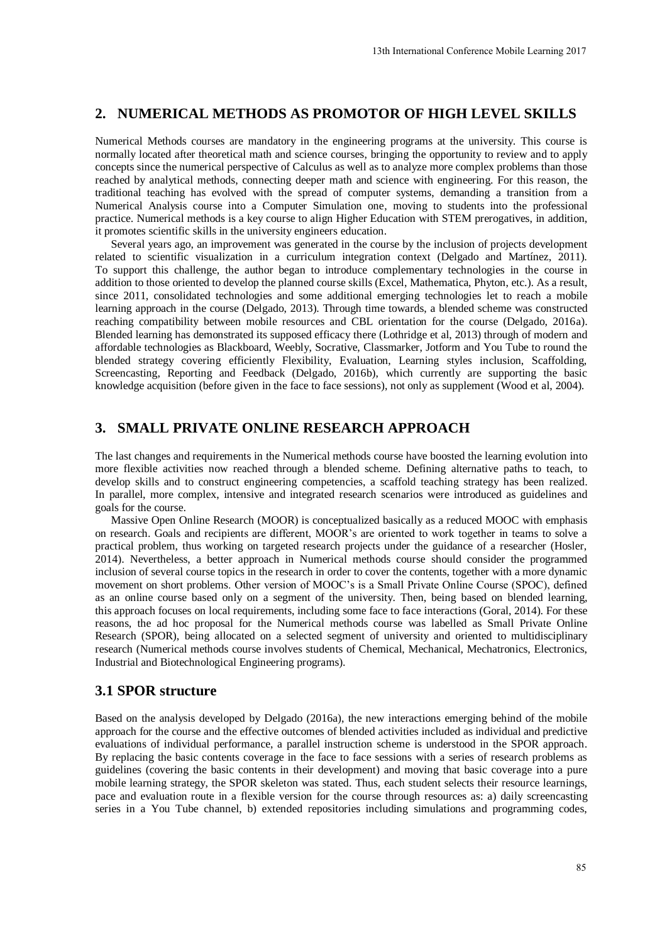# **2. NUMERICAL METHODS AS PROMOTOR OF HIGH LEVEL SKILLS**

Numerical Methods courses are mandatory in the engineering programs at the university. This course is normally located after theoretical math and science courses, bringing the opportunity to review and to apply concepts since the numerical perspective of Calculus as well as to analyze more complex problems than those reached by analytical methods, connecting deeper math and science with engineering. For this reason, the traditional teaching has evolved with the spread of computer systems, demanding a transition from a Numerical Analysis course into a Computer Simulation one, moving to students into the professional practice. Numerical methods is a key course to align Higher Education with STEM prerogatives, in addition, it promotes scientific skills in the university engineers education.

Several years ago, an improvement was generated in the course by the inclusion of projects development related to scientific visualization in a curriculum integration context (Delgado and Martínez, 2011). To support this challenge, the author began to introduce complementary technologies in the course in addition to those oriented to develop the planned course skills (Excel, Mathematica, Phyton, etc.). As a result, since 2011, consolidated technologies and some additional emerging technologies let to reach a mobile learning approach in the course (Delgado, 2013). Through time towards, a blended scheme was constructed reaching compatibility between mobile resources and CBL orientation for the course (Delgado, 2016a). Blended learning has demonstrated its supposed efficacy there (Lothridge et al, 2013) through of modern and affordable technologies as Blackboard, Weebly, Socrative, Classmarker, Jotform and You Tube to round the blended strategy covering efficiently Flexibility, Evaluation, Learning styles inclusion, Scaffolding, Screencasting, Reporting and Feedback (Delgado, 2016b), which currently are supporting the basic knowledge acquisition (before given in the face to face sessions), not only as supplement (Wood et al, 2004).

# **3. SMALL PRIVATE ONLINE RESEARCH APPROACH**

The last changes and requirements in the Numerical methods course have boosted the learning evolution into more flexible activities now reached through a blended scheme. Defining alternative paths to teach, to develop skills and to construct engineering competencies, a scaffold teaching strategy has been realized. In parallel, more complex, intensive and integrated research scenarios were introduced as guidelines and goals for the course.

Massive Open Online Research (MOOR) is conceptualized basically as a reduced MOOC with emphasis on research. Goals and recipients are different, MOOR's are oriented to work together in teams to solve a practical problem, thus working on targeted research projects under the guidance of a researcher (Hosler, 2014). Nevertheless, a better approach in Numerical methods course should consider the programmed inclusion of several course topics in the research in order to cover the contents, together with a more dynamic movement on short problems. Other version of MOOC's is a Small Private Online Course (SPOC), defined as an online course based only on a segment of the university. Then, being based on blended learning, this approach focuses on local requirements, including some face to face interactions (Goral, 2014). For these reasons, the ad hoc proposal for the Numerical methods course was labelled as Small Private Online Research (SPOR), being allocated on a selected segment of university and oriented to multidisciplinary research (Numerical methods course involves students of Chemical, Mechanical, Mechatronics, Electronics, Industrial and Biotechnological Engineering programs). 13th International Conference Mobile Learning 2017<br> **IFOR OF HIGH LEVEL SKILLS**<br>
megrograms at the university. This course is to analyze more complex problems that the university. This course is because problems to the ana

### **3.1 SPOR structure**

Based on the analysis developed by Delgado (2016a), the new interactions emerging behind of the mobile approach for the course and the effective outcomes of blended activities included as individual and predictive evaluations of individual performance, a parallel instruction scheme is understood in the SPOR approach. By replacing the basic contents coverage in the face to face sessions with a series of research problems as guidelines (covering the basic contents in their development) and moving that basic coverage into a pure mobile learning strategy, the SPOR skeleton was stated. Thus, each student selects their resource learnings, pace and evaluation route in a flexible version for the course through resources as: a) daily screencasting series in a You Tube channel, b) extended repositories including simulations and programming codes,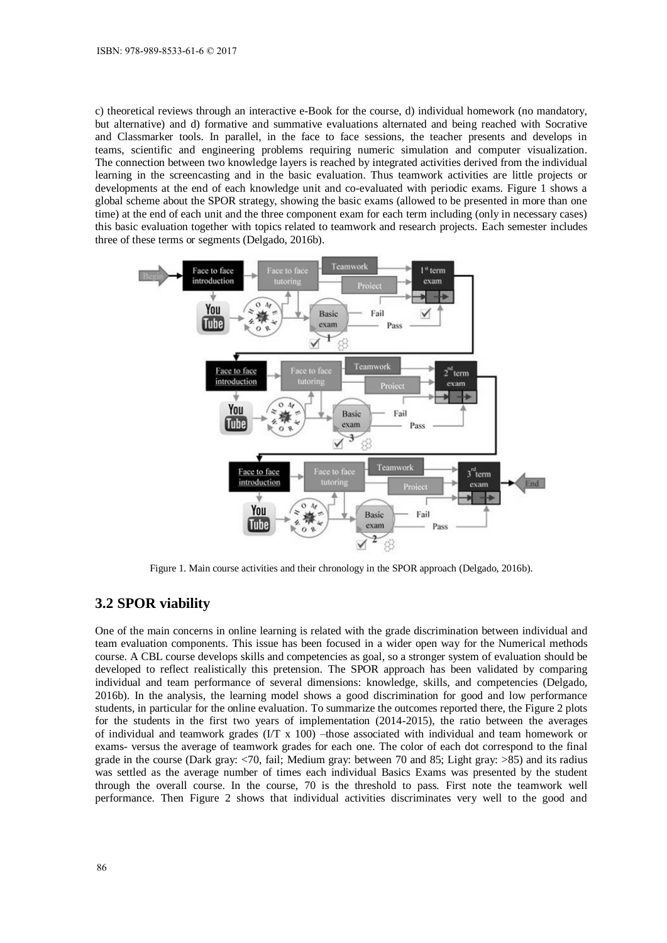c) theoretical reviews through an interactive e-Book for the course, d) individual homework (no mandatory, but alternative) and d) formative and summative evaluations alternated and being reached with Socrative and Classmarker tools. In parallel, in the face to face sessions, the teacher presents and develops in teams, scientific and engineering problems requiring numeric simulation and computer visualization. The connection between two knowledge layers is reached by integrated activities derived from the individual learning in the screencasting and in the basic evaluation. Thus teamwork activities are little projects or developments at the end of each knowledge unit and co-evaluated with periodic exams. Figure 1 shows a global scheme about the SPOR strategy, showing the basic exams (allowed to be presented in more than one time) at the end of each unit and the three component exam for each term including (only in necessary cases) this basic evaluation together with topics related to teamwork and research projects. Each semester includes three of these terms or segments (Delgado, 2016b).



Figure 1. Main course activities and their chronology in the SPOR approach (Delgado, 2016b).

## **3.2 SPOR viability**

One of the main concerns in online learning is related with the grade discrimination between individual and team evaluation components. This issue has been focused in a wider open way for the Numerical methods course. A CBL course develops skills and competencies as goal, so a stronger system of evaluation should be developed to reflect realistically this pretension. The SPOR approach has been validated by comparing individual and team performance of several dimensions: knowledge, skills, and competencies (Delgado, 2016b). In the analysis, the learning model shows a good discrimination for good and low performance students, in particular for the online evaluation. To summarize the outcomes reported there, the Figure 2 plots for the students in the first two years of implementation (2014-2015), the ratio between the averages of individual and teamwork grades (I/T x 100) –those associated with individual and team homework or exams- versus the average of teamwork grades for each one. The color of each dot correspond to the final grade in the course (Dark gray: <70, fail; Medium gray: between 70 and 85; Light gray: >85) and its radius was settled as the average number of times each individual Basics Exams was presented by the student through the overall course. In the course, 70 is the threshold to pass. First note the teamwork well performance. Then Figure 2 shows that individual activities discriminates very well to the good and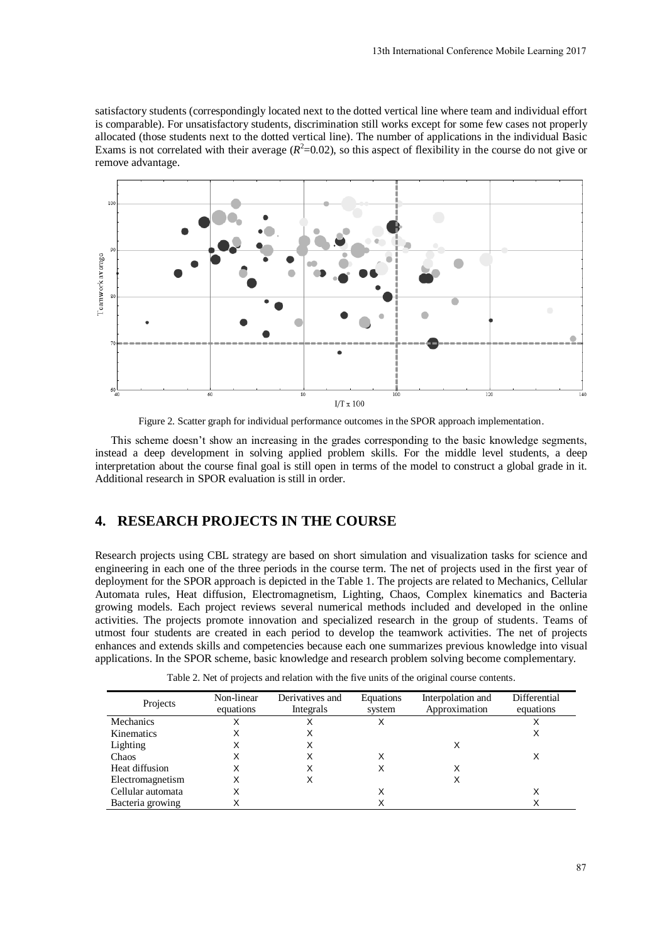satisfactory students (correspondingly located next to the dotted vertical line where team and individual effort is comparable). For unsatisfactory students, discrimination still works except for some few cases not properly allocated (those students next to the dotted vertical line). The number of applications in the individual Basic Exams is not correlated with their average  $(R^2=0.02)$ , so this aspect of flexibility in the course do not give or remove advantage.



Figure 2. Scatter graph for individual performance outcomes in the SPOR approach implementation.

This scheme doesn't show an increasing in the grades corresponding to the basic knowledge segments, instead a deep development in solving applied problem skills. For the middle level students, a deep interpretation about the course final goal is still open in terms of the model to construct a global grade in it. Additional research in SPOR evaluation is still in order.

# **4. RESEARCH PROJECTS IN THE COURSE**

Research projects using CBL strategy are based on short simulation and visualization tasks for science and engineering in each one of the three periods in the course term. The net of projects used in the first year of deployment for the SPOR approach is depicted in the Table 1. The projects are related to Mechanics, Cellular Automata rules, Heat diffusion, Electromagnetism, Lighting, Chaos, Complex kinematics and Bacteria growing models. Each project reviews several numerical methods included and developed in the online activities. The projects promote innovation and specialized research in the group of students. Teams of utmost four students are created in each period to develop the teamwork activities. The net of projects enhances and extends skills and competencies because each one summarizes previous knowledge into visual applications. In the SPOR scheme, basic knowledge and research problem solving become complementary.

Table 2. Net of projects and relation with the five units of the original course contents.

| Projects          | Non-linear<br>equations | Derivatives and<br>Integrals | Equations<br>system | Interpolation and<br>Approximation | Differential<br>equations |
|-------------------|-------------------------|------------------------------|---------------------|------------------------------------|---------------------------|
| <b>Mechanics</b>  | Χ                       | Χ                            |                     |                                    |                           |
| Kinematics        |                         | х                            |                     |                                    | х                         |
| Lighting          | Χ                       | Χ                            |                     | X                                  |                           |
| Chaos             | х                       | Х                            |                     |                                    |                           |
| Heat diffusion    | х                       | X                            |                     | X                                  |                           |
| Electromagnetism  | Χ                       | Х                            |                     | X                                  |                           |
| Cellular automata | Χ                       |                              |                     |                                    |                           |
| Bacteria growing  | Χ                       |                              |                     |                                    |                           |